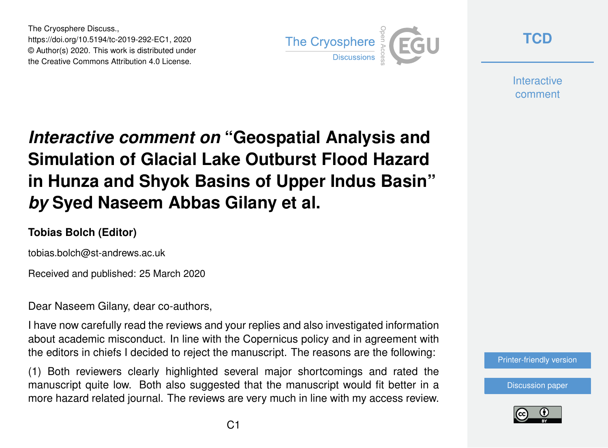The Cryosphere Discuss., https://doi.org/10.5194/tc-2019-292-EC1, 2020 © Author(s) 2020. This work is distributed under the Creative Commons Attribution 4.0 License.



**[TCD](https://www.the-cryosphere-discuss.net/)**

**Interactive** comment

## *Interactive comment on* **"Geospatial Analysis and Simulation of Glacial Lake Outburst Flood Hazard in Hunza and Shyok Basins of Upper Indus Basin"** *by* **Syed Naseem Abbas Gilany et al.**

## **Tobias Bolch (Editor)**

tobias.bolch@st-andrews.ac.uk

Received and published: 25 March 2020

Dear Naseem Gilany, dear co-authors,

I have now carefully read the reviews and your replies and also investigated information about academic misconduct. In line with the Copernicus policy and in agreement with the editors in chiefs I decided to reject the manuscript. The reasons are the following:

(1) Both reviewers clearly highlighted several major shortcomings and rated the manuscript quite low. Both also suggested that the manuscript would fit better in a more hazard related journal. The reviews are very much in line with my access review. [Printer-friendly version](https://www.the-cryosphere-discuss.net/tc-2019-292/tc-2019-292-EC1-print.pdf)

[Discussion paper](https://www.the-cryosphere-discuss.net/tc-2019-292)